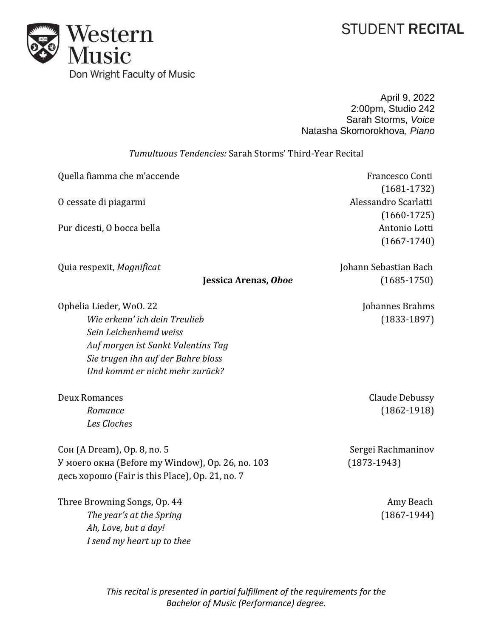## **STUDENT RECITAL**



April 9, 2022 2:00pm, Studio 242 Sarah Storms, *Voice* Natasha Skomorokhova, *Piano*

## *Tumultuous Tendencies:* Sarah Storms' Third-Year Recital

| $(1681 - 1732)$<br>Alessandro Scarlatti<br>O cessate di piagarmi<br>$(1660-1725)$<br>Antonio Lotti<br>Pur dicesti, O bocca bella<br>$(1667 - 1740)$<br>Johann Sebastian Bach<br>Quia respexit, Magnificat<br>Jessica Arenas, Oboe<br>$(1685 - 1750)$<br>Ophelia Lieder, WoO. 22<br>Johannes Brahms<br>Wie erkenn' ich dein Treulieb<br>$(1833-1897)$<br>Sein Leichenhemd weiss |
|--------------------------------------------------------------------------------------------------------------------------------------------------------------------------------------------------------------------------------------------------------------------------------------------------------------------------------------------------------------------------------|
|                                                                                                                                                                                                                                                                                                                                                                                |
|                                                                                                                                                                                                                                                                                                                                                                                |
|                                                                                                                                                                                                                                                                                                                                                                                |
|                                                                                                                                                                                                                                                                                                                                                                                |
|                                                                                                                                                                                                                                                                                                                                                                                |
|                                                                                                                                                                                                                                                                                                                                                                                |
|                                                                                                                                                                                                                                                                                                                                                                                |
|                                                                                                                                                                                                                                                                                                                                                                                |
|                                                                                                                                                                                                                                                                                                                                                                                |
| Auf morgen ist Sankt Valentins Tag                                                                                                                                                                                                                                                                                                                                             |
| Sie trugen ihn auf der Bahre bloss                                                                                                                                                                                                                                                                                                                                             |
| Und kommt er nicht mehr zurück?                                                                                                                                                                                                                                                                                                                                                |
| <b>Deux Romances</b><br>Claude Debussy                                                                                                                                                                                                                                                                                                                                         |
| $(1862 - 1918)$<br>Romance                                                                                                                                                                                                                                                                                                                                                     |
| Les Cloches                                                                                                                                                                                                                                                                                                                                                                    |
| Сон (A Dream), Op. 8, no. 5<br>Sergei Rachmaninov                                                                                                                                                                                                                                                                                                                              |
| У моего окна (Before my Window), Op. 26, no. 103<br>$(1873-1943)$                                                                                                                                                                                                                                                                                                              |
| десь хорошо (Fair is this Place), Op. 21, no. 7                                                                                                                                                                                                                                                                                                                                |
| Three Browning Songs, Op. 44<br>Amy Beach                                                                                                                                                                                                                                                                                                                                      |
| The year's at the Spring<br>$(1867-1944)$                                                                                                                                                                                                                                                                                                                                      |
| Ah, Love, but a day!                                                                                                                                                                                                                                                                                                                                                           |
| I send my heart up to thee                                                                                                                                                                                                                                                                                                                                                     |

*This recital is presented in partial fulfillment of the requirements for the Bachelor of Music (Performance) degree.*